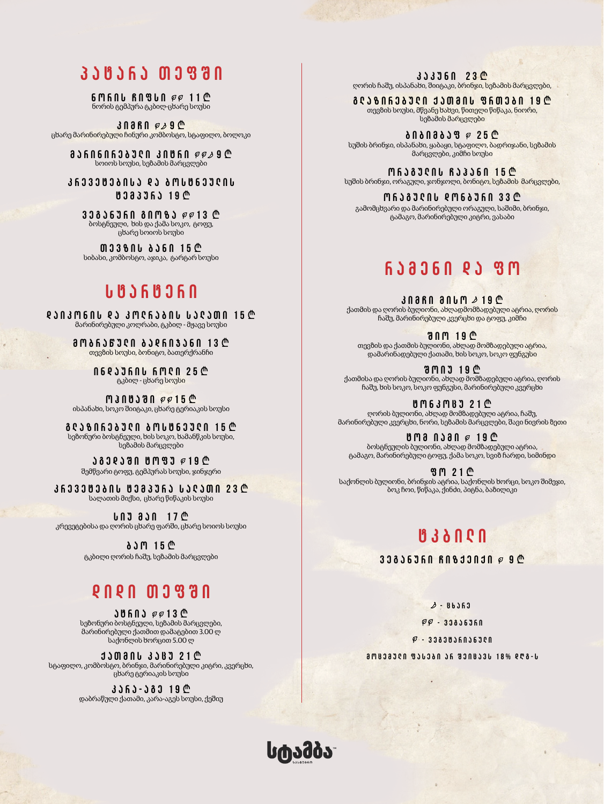### **პატარა თეფში**

**6 M A N B N 8 L N P P 11 C** ნორის ტემპურა ტკბილ-ცხარე სოუსი

**3 A 8 A 8**  $\phi$  **9**  $\Phi$ ცხარე მარინირებული ჩინური კომბოსტო, სტაფილო, ბოლოკი

**a** J G N G N G N J A J A D J A D J A D J A D A D  $\phi \sim 9$  C სოიოს სოუსი, სეზამის მარცვლები

**krevetebisa da bostneulis tempura 19** J

**33836360 80M83 @@13 @** ბოსტნეული, ხის და ქამა სოკო, ტოფუ, ცხარე სოიოს სოუსი

**M338NU 836N 15 C** სიბასი, კომბოსტო, აჯიკა, ტარტარ სოუსი

### **starteri**

**daikonis da kolrabis salaTi 15** J მარინირებული კოლრაბი, ტკბილ - მჟავე სოუსი

> **ama636700 ase603360 13 @** თევზის სოუსი, ბონიტო, ბათერქრანჩი

> > **06233606 6MC0 25 @** ტკბილ - ცხარე სოუსი

**manusuan** ee15  $\mathbb{C}$ ისპანახი, სოკო შიიტაკი, ცხარე ტერიაკის სოუსი

**acs and and and user and according to the according to the according to the according to the according to the a** სეზონური ბოსტნეული, ხის სოკო, ხამანწკის სოუსი, სეზამის მარცვლები

**b** a general bones possible შემწვარი ტოფუ, ტემპურას სოუსი, ჯინჯერი

**863338366 833365 632300 23 C** სალათის მიქსი, ცხარე წიწაკის სოუსი

*<u>bodin 17*  $\oplus$ *</u>* კრევეტებისა და ღორის ცხარე ფარში, ცხარე სოიოს სოუსი

> **<u>b**ame</u> 15 <u></u> ტკბილი ღორის ჩაშუ, სეზამის მარცვლები

### **didi TefSi**

**১৩** គណ *គ* គ្រប់ ៤ სეზონური ბოსტნეული, სეზამის მარცვლები, მარინირებული ქათმით დამატებით 3.00 ლ საქონლის ხორცით 5.00 ლ

**JJMANL 3JBJ 21 C** სტაფილო, კომბოსტო, ბრინჯი, მარინირებული კიტრი, კვერცხი, ცხარე ტერიაკის სოუსი

> *k* 3 J G J - 3 3 J G  $\Phi$ დაბრაწული ქათამი, კარა-აგეს სოუსი, ქეშიუ

**333360 23 CM** ღორის ჩაშუ, ისპანახი, შიიტაკი, ბრინჯი, სეზამის მარცვლები,

**glazirebuli qaTmis frTebi 19** J თევზის სოუსი, მწვანე ხახვი, წითელი წიწაკა, ნიორი, სეზამის მარცვლები

**እበ** ስ በ ብ ል እ ያ *ዋ* 25 ₾ სუშის ბრინჯი, ისპანახი, ყაბაყი, სტაფილო, ბადრიჯანი, სეზამის მარცვლები, კიმჩი სოუსი

**M638300 633360 15 C** სუშის ბრინჯი, ორაგული, ჯონჯოლი, ბონიტო, სეზამის მარცვლები,

**oragulis donburi 33** J გამომცხვარი და მარინირებული ორაგული, საშიმი, ბრინჯი, ტამაგო, მარინირებული კიტრი, ვასაბი

### **rameni da fo**

**30860 3060 2190** ქათმის და ღორის ბულიონი, ახლადმომზადებული ატრია, ღორის ჩაშუ, მარინირებული კვერცხი და ტოფუ, კიმჩი

**Sio 19** J თევზის და ქათმის ბულიონი, ახლად მომზადებული ატრია, დამარინადებული ქათამი, ხის სოკო, სოკო ფუნგუსი

**ᲨᲝ**ᲘᲣ 19 ₾ ქათმისა და ღორის ბულიონი, ახლად მომზადებული ატრია, ღორის ჩაშუ, ხის სოკო, სოკო ფუნგუსი, მარინირებული კვერცხი

**bm63MBJ21<sup>@</sup>** ღორის ბულიონი, ახლად მომზადებული ატრია, ჩაშუ, მარინირებული კვერცხი, ნორი, სეზამის მარცვლები, შავი ნივრის ზეთი

*UMA NJAN @ 19 <sup>@</sup>* ბოსტნეულის ბულიონი, ახლად მომზადებული ატრია, ტამაგო, მარინირებული ტოფუ, ქამა სოკო, სვიზ ჩარდი, სიმინდი

**ያጠ 21 ₾** საქონლის ბულიონი, ბრინჯის ატრია, საქონლის ხორცი, სოკო შიმეჯი, ბოკ ჩოი, წიწაკა, ქინძი, პიტნა, ბაზილიკი

# **tkbili**

**33836360 R0833030 @ 9 C** 

 $2 - 86363$  $\overline{\varphi}\overline{\varphi}$  - 33836360  $\varphi$  - 33830360360 **mocemuli fasebi ar Seicavs 18% dRg-s**